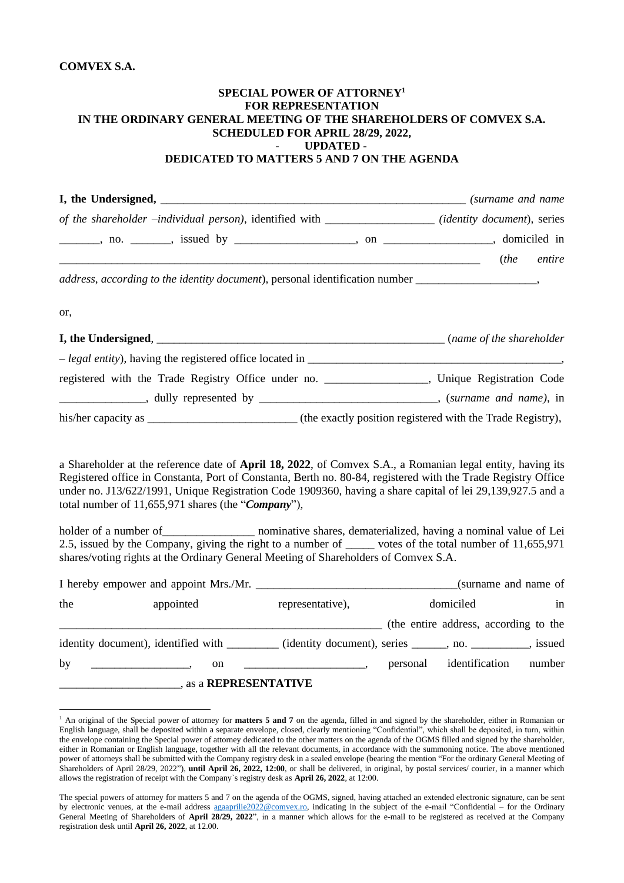## **COMVEX S.A.**

## **SPECIAL POWER OF ATTORNEY<sup>1</sup> FOR REPRESENTATION IN THE ORDINARY GENERAL MEETING OF THE SHAREHOLDERS OF COMVEX S.A. SCHEDULED FOR APRIL 28/29, 2022,** - **UPDATED - DEDICATED TO MATTERS 5 AND 7 ON THE AGENDA**

| of the shareholder -individual person), identified with ________________ (identity document), series  |  |  |  |
|-------------------------------------------------------------------------------------------------------|--|--|--|
|                                                                                                       |  |  |  |
| ( <i>the entire</i> ) ( <i>the entire</i> )                                                           |  |  |  |
| address, according to the identity document), personal identification number _______________________, |  |  |  |
| or,                                                                                                   |  |  |  |
|                                                                                                       |  |  |  |
|                                                                                                       |  |  |  |
| registered with the Trade Registry Office under no. __________________, Unique Registration Code      |  |  |  |
|                                                                                                       |  |  |  |
|                                                                                                       |  |  |  |

a Shareholder at the reference date of **April 18, 2022**, of Comvex S.A., a Romanian legal entity, having its Registered office in Constanta, Port of Constanta, Berth no. 80-84, registered with the Trade Registry Office under no. J13/622/1991, Unique Registration Code 1909360, having a share capital of lei 29,139,927.5 and a total number of 11,655,971 shares (the "*Company*"),

holder of a number of \_\_\_\_\_\_\_\_\_\_\_\_\_\_\_\_\_\_\_\_\_ nominative shares, dematerialized, having a nominal value of Lei 2.5, issued by the Company, giving the right to a number of \_\_\_\_\_ votes of the total number of 11,655,971 shares/voting rights at the Ordinary General Meeting of Shareholders of Comvex S.A.

|     | I hereby empower and appoint Mrs./Mr.                                                                    |                          | (surname and name of |                                       |        |  |
|-----|----------------------------------------------------------------------------------------------------------|--------------------------|----------------------|---------------------------------------|--------|--|
| the | appointed                                                                                                | representative),         |                      | domiciled                             | in     |  |
|     |                                                                                                          |                          |                      | (the entire address, according to the |        |  |
|     | identity document), identified with _________ (identity document), series ______, no. __________, issued |                          |                      |                                       |        |  |
| by  | on<br>$\mathcal{L} = \mathcal{L}$                                                                        | $\overline{\phantom{a}}$ | personal             | identification                        | number |  |
|     | as a <b>REPRESENTATIVE</b>                                                                               |                          |                      |                                       |        |  |

<sup>1</sup> An original of the Special power of attorney for **matters 5 and 7** on the agenda, filled in and signed by the shareholder, either in Romanian or English language, shall be deposited within a separate envelope, closed, clearly mentioning "Confidential", which shall be deposited, in turn, within the envelope containing the Special power of attorney dedicated to the other matters on the agenda of the OGMS filled and signed by the shareholder, either in Romanian or English language, together with all the relevant documents, in accordance with the summoning notice. The above mentioned power of attorneys shall be submitted with the Company registry desk in a sealed envelope (bearing the mention "For the ordinary General Meeting of Shareholders of April 28/29, 2022"), **until April 26, 2022, 12:00**, or shall be delivered, in original, by postal services/ courier, in a manner which allows the registration of receipt with the Company`s registry desk as **April 26, 2022**, at 12:00.

The special powers of attorney for matters 5 and 7 on the agenda of the OGMS, signed, having attached an extended electronic signature, can be sent by electronic venues, at the e-mail address [agaaprilie2022@comvex.ro,](mailto:agaaprilie2022@comvex.ro) indicating in the subject of the e-mail "Confidential – for the Ordinary General Meeting of Shareholders of **April 28/29, 2022**", in a manner which allows for the e-mail to be registered as received at the Company registration desk until **April 26, 2022**, at 12.00.